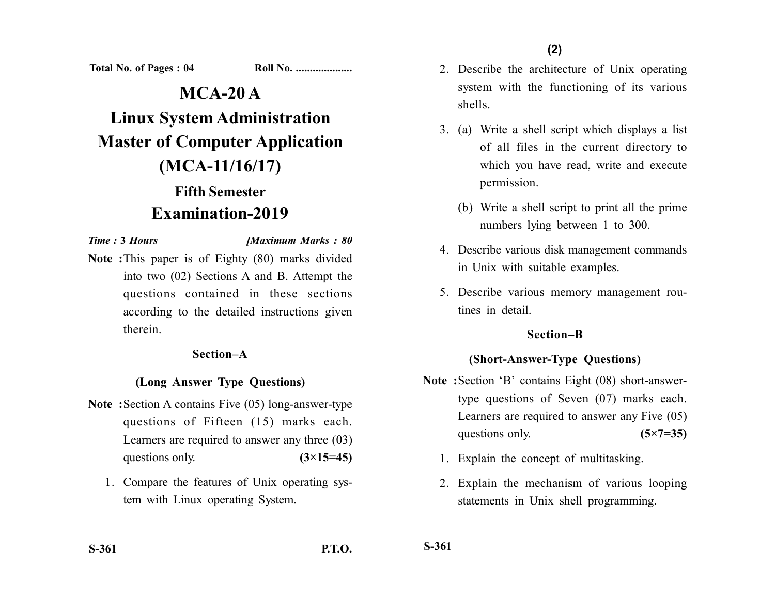**Total No. of Pages : 04 Roll No. ...................** 

# **MCA-20 A Linux System Administration Master of Computer Application (MCA-11/16/17) Fifth Semester**

## **Examination-2019**

*Time :* **3** *Hours [Maximum Marks : 80*

**Note :**This paper is of Eighty (80) marks divided into two (02) Sections A and B. Attempt the questions contained in these sections according to the detailed instructions given therein.

#### **Section–A**

#### **(Long Answer Type Questions)**

- **Note :**Section A contains Five (05) long-answer-type questions of Fifteen (15) marks each. Learners are required to answer any three (03) questions only. **(3×15=45)** 
	- 1. Compare the features of Unix operating system with Linux operating System.
- 2. Describe the architecture of Unix operating system with the functioning of its various shells.
- 3. (a) Write a shell script which displays a list of all files in the current directory to which you have read, write and execute permission.
	- (b) Write a shell script to print all the prime numbers lying between 1 to 300.
- 4. Describe various disk management commands in Unix with suitable examples.
- 5. Describe various memory management routines in detail.

#### **Section–B**

#### **(Short-Answer-Type Questions)**

- **Note :**Section 'B' contains Eight (08) short-answertype questions of Seven (07) marks each. Learners are required to answer any Five (05) questions only. **(5×7=35)** 
	- 1. Explain the concept of multitasking.
	- 2. Explain the mechanism of various looping statements in Unix shell programming.